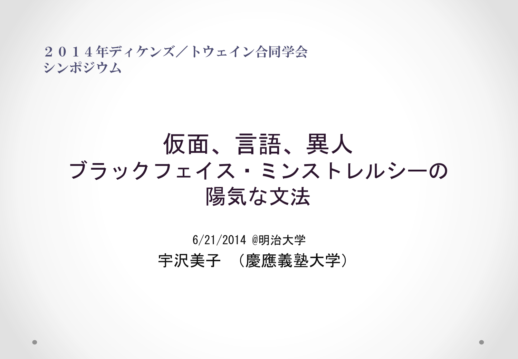#### 2014年ディケンズ/トウェイン合同学会 シンポジウム

### 仮面、言語、異人 ブラックフェイス・ミンストレルシーの 陽気な文法

#### 6/21/2014 @明治大学 宇沢美子 (慶應義塾大学)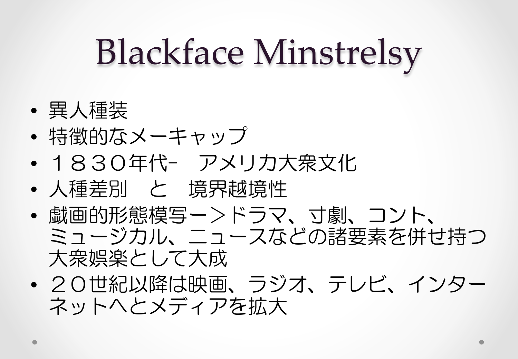## Blackface Minstrelsy

- 異人種装
- 特徴的なメーキャップ
- 1830年代- アメリカ大衆文化
- 人種差別 と 境界越境性
- 戯画的形態模写ー>ドラマ、寸劇、コント、 ミュージカル、ニュースなどの諸要素を併せ持つ 大衆娯楽として大成
- 20世紀以降は映画、ラジオ、テレビ、インター ネットへとメディアを拡大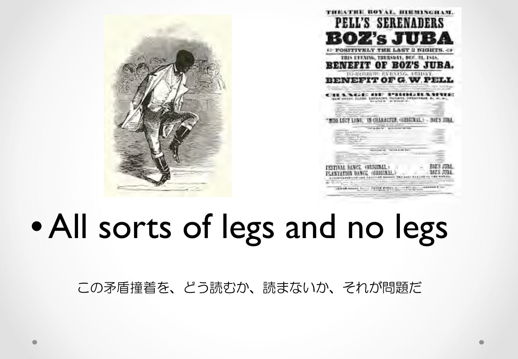|  | ТИКАТИК ВОУАТ, ВИЯПЛЕНАМ.<br>PELL'S SERENADERS                                                                                                                                                                                                                                          |
|--|-----------------------------------------------------------------------------------------------------------------------------------------------------------------------------------------------------------------------------------------------------------------------------------------|
|  | BOZ's JUBA<br><b>AP POSITIVELY THE LAST 2 NIGHTS. 47</b>                                                                                                                                                                                                                                |
|  | TRIS LYENING, THURSDAY, DEC. 21, 1818,<br>ENEFIT OF BOZ'S JUBA.<br>TO-NORMAN EVENING, INDIAY,                                                                                                                                                                                           |
|  | <b>ENEFIT OF G. W. P.</b><br>S KREF REBEKDE<br>CAN HOUSE, FURZH, ESPRAINA, UNIANYA, SWEAPHAME &<br>acaber la state e-                                                                                                                                                                   |
|  | RO to LANDA CRUSH SHAW<br>LUCE LINE. TH CHARACTER, (GRIEINAL.) - BOZ'S JIRA.<br>University of the first service.<br>The process of the contract and contract<br>and the first company<br><b>PERSONAL BUSINESS</b><br>C. Plannell                                                        |
|  | respectively. The way in this will a                                                                                                                                                                                                                                                    |
|  | wells well to the work. Good of the basical term in the control of the company of the property of the company of the company of the company of the company of the company of the company of the company of the company of the<br>Advancement from Perry Perry and Chicago and Mary Per- |

## • All sorts of legs and no legs

この矛盾撞着を、どう読むか、読まないか、それが問題だ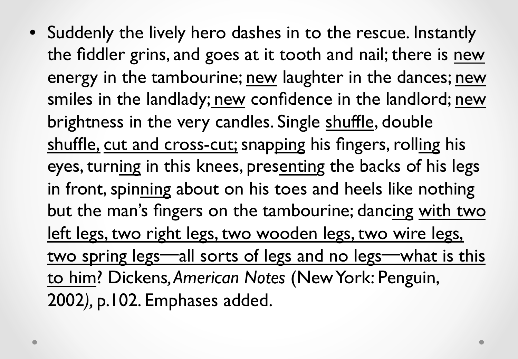• Suddenly the lively hero dashes in to the rescue. Instantly the fiddler grins, and goes at it tooth and nail; there is new energy in the tambourine; new laughter in the dances; new smiles in the landlady; new confidence in the landlord; new brightness in the very candles. Single shuffle, double shuffle, cut and cross-cut; snapping his fingers, rolling his eyes, turning in this knees, presenting the backs of his legs in front, spinning about on his toes and heels like nothing but the man's fingers on the tambourine; dancing with two left legs, two right legs, two wooden legs, two wire legs, two spring legs—all sorts of legs and no legs—what is this to him? Dickens*, American Notes* (New York: Penguin, 2002*),* p.102. Emphases added.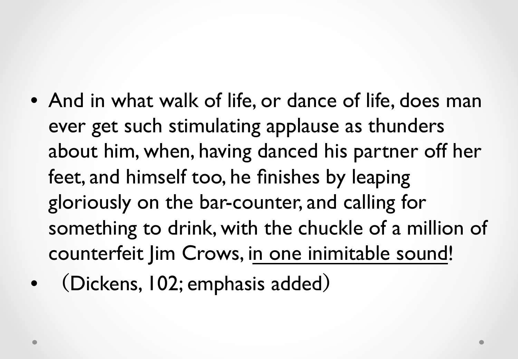- And in what walk of life, or dance of life, does man ever get such stimulating applause as thunders about him, when, having danced his partner off her feet, and himself too, he finishes by leaping gloriously on the bar-counter, and calling for something to drink, with the chuckle of a million of counterfeit Jim Crows, in one inimitable sound!
- (Dickens, 102; emphasis added)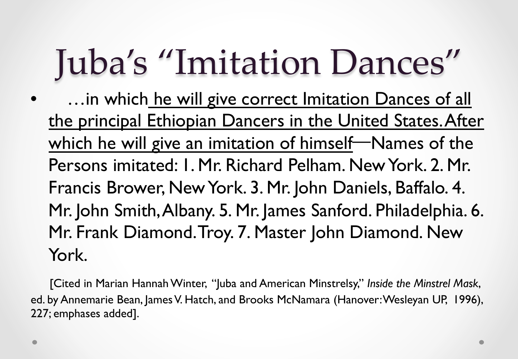## Juba's "Imitation Dances"

... in which he will give correct Imitation Dances of all the principal Ethiopian Dancers in the United States. After which he will give an imitation of himself—Names of the Persons imitated: 1. Mr. Richard Pelham. New York. 2. Mr. Francis Brower, New York. 3. Mr. John Daniels, Baffalo. 4. Mr. John Smith, Albany. 5. Mr. James Sanford. Philadelphia. 6. Mr. Frank Diamond. Troy. 7. Master John Diamond. New York.

 [Cited in Marian Hannah Winter, "Juba and American Minstrelsy," *Inside the Minstrel Mask*, ed. by Annemarie Bean, James V. Hatch, and Brooks McNamara (Hanover: Wesleyan UP, 1996), 227; emphases added].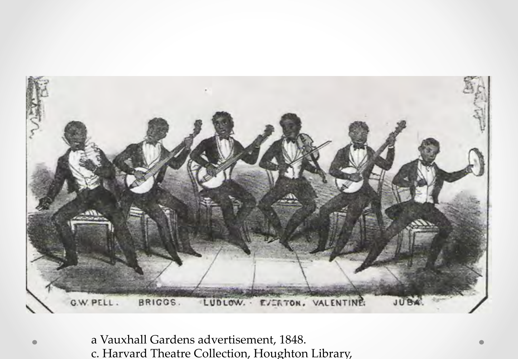

a Vauxhall Gardens advertisement, 1848. c. Harvard Theatre Collection, Houghton Library,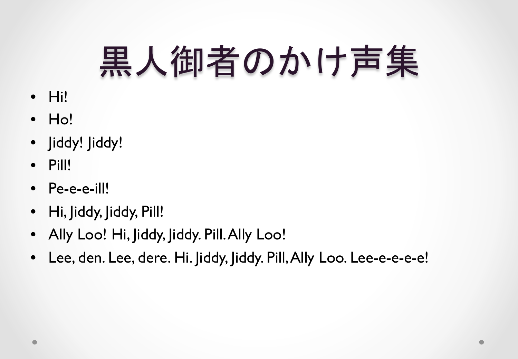# 黒人御者のかけ声集

- Hi!
- Ho!
- Jiddy! Jiddy!
- Pill!
- Pe-e-e-ill!
- Hi, Jiddy, Jiddy, Pill!
- Ally Loo! Hi, Jiddy, Jiddy. Pill. Ally Loo!
- Lee, den. Lee, dere. Hi. Jiddy, Jiddy. Pill, Ally Loo. Lee-e-e-e-e!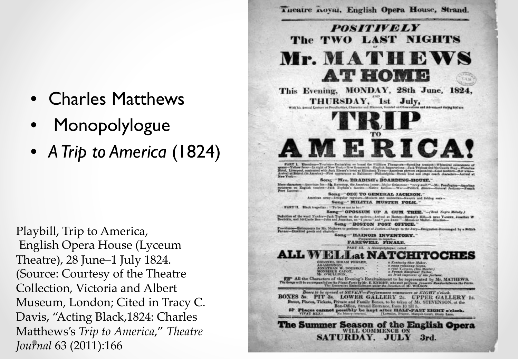- Charles Matthews
- Monopolylogue
- *A Trip to America* (1824)

Playbill, Trip to America, English Opera House (Lyceum Theatre), 28 June–1 July 1824. (Source: Courtesy of the Theatre Collection, Victoria and Albert Museum, London; Cited in Tracy C. Davis, "Acting Black,1824: Charles Matthews's *Trip to America*," Theatre *Journal* 63 (2011):166

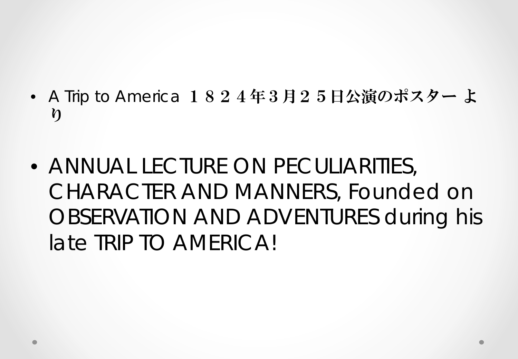- *A Trip to America* 1824年3月25日公演のポスター よ り
- ANNUAL LECTURE ON PECULIARITIES, CHARACTER AND MANNERS, Founded on OBSERVATION AND ADVENTURES during his late TRIP TO AMERICA!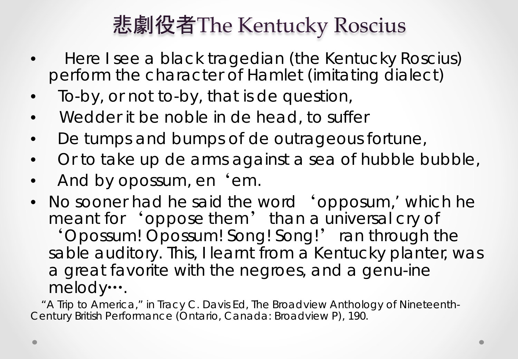### 悲劇役者The Kentucky Roscius

- Here I see a black tragedian (the Kentucky Roscius) perform the character of Hamlet (*imitating dialect)*
- To-*by,* or not to-*by*, that is de question,
- Wedder it be noble in de *head,* to suffer
- De *tumps and bumps* of de outrageous fortune,
- Or to take up de arms against a sea *of hubble bubble*,
- And by opossum, en 'em.
- No sooner had he said the word '*opposum,'* which he meant for 'oppose them' than a universal cry of 'Opossum! Opossum! Song! Song!' ran through the sable auditory. This, I learnt from a Kentucky planter, was a great favorite with the negroes, and a genu-ine melody….<br>A Trip to America," in Tracy C. Davis Ed, The Broadview Anthology of Nineteenth-

*Century British Performance* (Ontario, Canada: Broadview P), 190.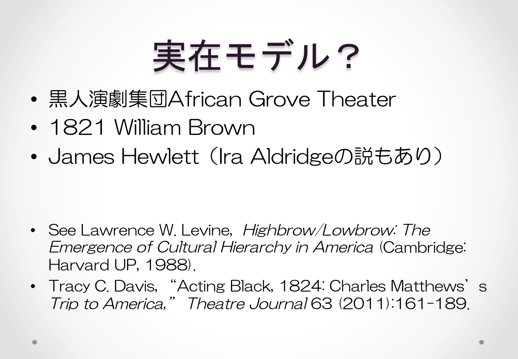# 実在モデル?

- 黒人演劇集団African Grove Theater
- 1821 William Brown
- James Hewlett (Ira Aldridgeの説もあり)

- See Lawrence W. Levine, *Highbrow/Lowbrow: The* Emergence of Cultural Hierarchy in America (Cambridge: Harvard UP, 1988).
- Tracy C. Davis, "Acting Black, 1824: Charles Matthews's Trip to America," Theatre Journal 63 (2011):161-189.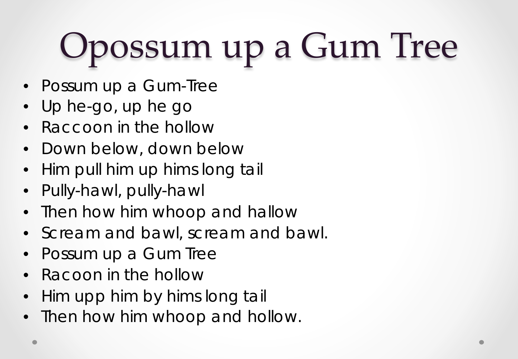# Opossum up a Gum Tree

- Possum up a Gum-Tree
- Up he-go, up he go
- Raccoon in the hollow
- Down below, down below
- Him pull him up hims long tail
- Pully-hawl, pully-hawl
- Then how him whoop and hallow
- Scream and bawl, scream and bawl.
- Possum up a Gum Tree
- Racoon in the hollow
- Him upp him by hims long tail
- Then how him whoop and hollow.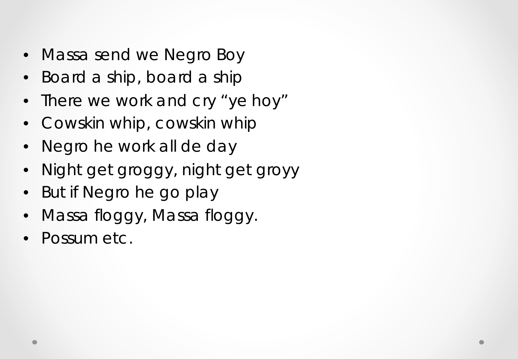- Massa send we Negro Boy
- Board a ship, board a ship
- There we work and cry "ye hoy"
- Cowskin whip, cowskin whip
- Negro he work all de day
- Night get groggy, night get groyy
- But if Negro he go play
- Massa floggy, Massa floggy.
- Possum etc.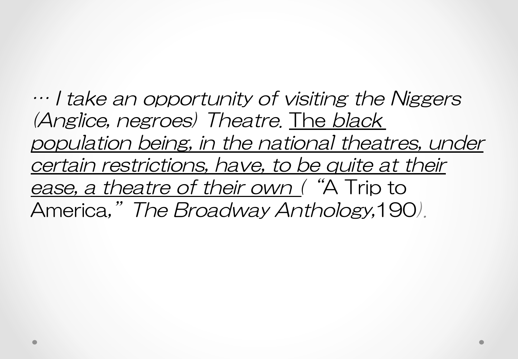… I take an opportunity of visiting the Niggers (Anglice, negroes) Theatre. The black population being, in the national theatres, under certain restrictions, have, to be quite at their ease, a theatre of their own ("A Trip to America,"The Broadway Anthology,190).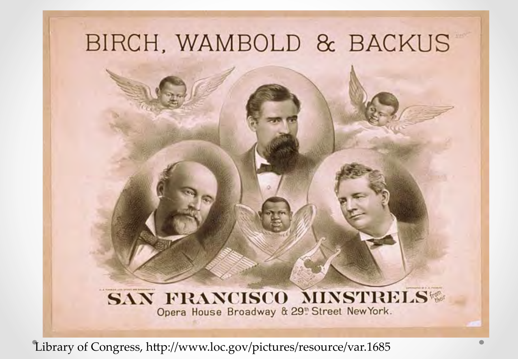## BIRCH, WAMBOLD & BACKUS

#### SAN FRANCISCO MINSTRELS® Opera House Broadway & 29<sup>th</sup> Street New York.

Library of Congress, http://www.loc.gov/pictures/resource/var.1685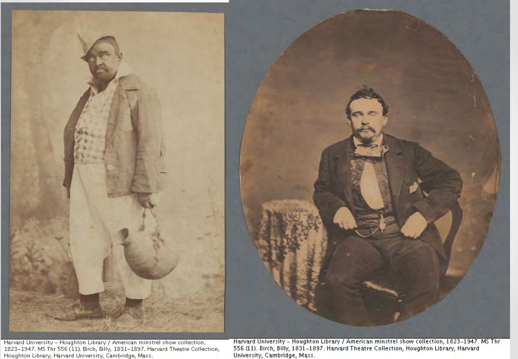

Harvard University - Houghton Library / American minstrel show collection,<br>1823–1947. MS Thr 556 (11). Birch, Billy, 1831–1897. Harvard Theatre Collection, Houghton Library, Harvard University, Cambridge, Mass.

Harvard University - Houghton Library / American minstrel show collection, 1823-1947. MS Thr<br>556 (11). Birch, Billy, 1831-1897. Harvard Theatre Collection, Houghton Library, Harvard University, Cambridge, Mass.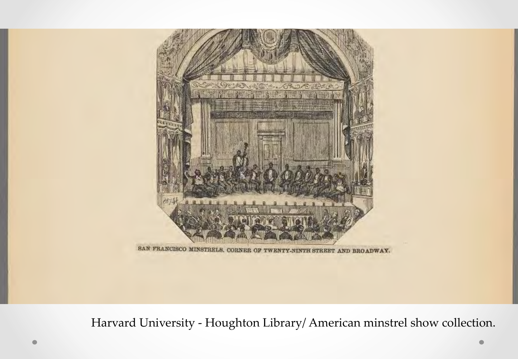

SAN FRANCISCO MINSTRELS, CORNER OF TWENTY-NINTH STREET AND BROADWAY.

Harvard University - Houghton Library/ American minstrel show collection.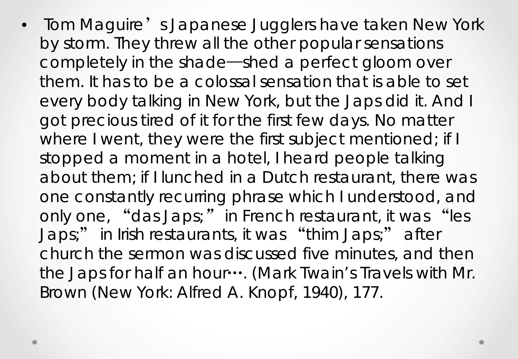• Tom Maguire's Japanese Jugglers have taken New York by storm. They threw all the other popular sensations completely in the shade—shed a perfect gloom over them. It has to be a colossal sensation that is able to set every body talking in New York, but the Japs did it. And I got precious tired of it for the first few days. No matter where I went, they were the first subject mentioned; if I stopped a moment in a hotel, I heard people talking about them; if I lunched in a Dutch restaurant, there was one constantly recurring phrase which I understood, and only one, "*das Japs;*" in French restaurant, it was "les Japs;" in Irish restaurants, it was "thim Japs;" after church the sermon was discussed five minutes, and then the Japs for half an hour…. (*Mark Twain's Travels with Mr. Brown* (New York: Alfred A. Knopf, 1940), 177.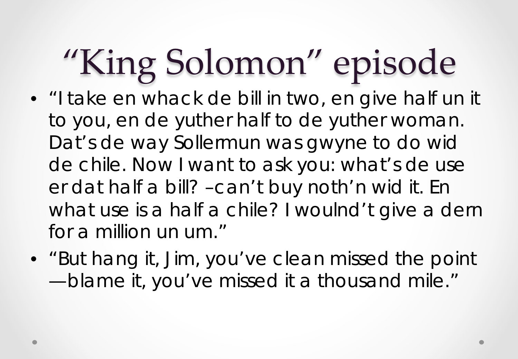# "King Solomon" episode

- "I take en whack de bill in *two,* en give half un it to you, en de yuther half to de yuther woman. Dat's de way Sollermun was gwyne to do wid de chile. Now I want to ask you: what's de use er dat half a bill? –can't buy noth'n wid it. En what use is a half a chile? I woulnd't give a dern for a million un um."
- "But hang it, Jim, you've clean missed the point —blame it, you've missed it a thousand mile."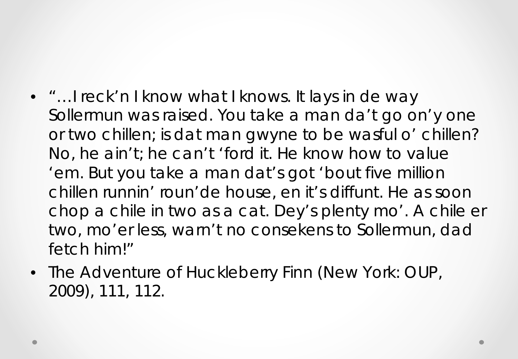- "... I reck'n I know what I knows. It lays in de way Sollermun was raised. You take a man da't go on'y one or two chillen; is dat man gwyne to be wasful o' chillen? No, he ain't; he can't 'ford it. *He* know how to value 'em. But you take a man dat's got 'bout five million chillen runnin' roun'de house, en it's diffunt. *He* as soon chop a chile in two as a cat. Dey's plenty mo'. A chile er two, mo'er less, warn't no consekens to Sollermun, dad fetch him!"
- *The Adventure of Huckleberry Finn (New York: OUP, 2009),* 111, 112.